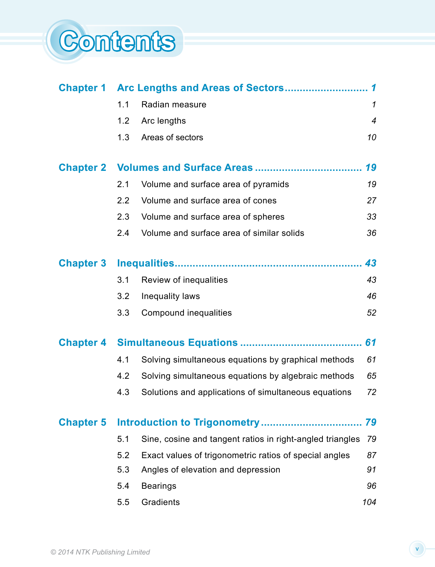

|                  | $\mathbf 1$ |                                                           |                |  |
|------------------|-------------|-----------------------------------------------------------|----------------|--|
|                  | 1.1         | Radian measure                                            | $\mathcal I$   |  |
|                  | 1.2         | Arc lengths                                               | $\overline{4}$ |  |
|                  | 1.3         | Areas of sectors                                          | 10             |  |
| <b>Chapter 2</b> |             |                                                           | 19             |  |
|                  | 2.1         | Volume and surface area of pyramids                       | 19             |  |
|                  | 2.2         | Volume and surface area of cones                          | 27             |  |
|                  | 2.3         | Volume and surface area of spheres                        | 33             |  |
|                  | 2.4         | Volume and surface area of similar solids                 | 36             |  |
| <b>Chapter 3</b> |             |                                                           | 43             |  |
|                  | 3.1         | Review of inequalities                                    | 43             |  |
|                  | 3.2         | Inequality laws                                           | 46             |  |
|                  | 3.3         | Compound inequalities                                     | 52             |  |
| <b>Chapter 4</b> |             |                                                           | 61             |  |
|                  | 4.1         | Solving simultaneous equations by graphical methods       | 61             |  |
|                  | 4.2         | Solving simultaneous equations by algebraic methods       | 65             |  |
|                  | 4.3         | Solutions and applications of simultaneous equations      | 72             |  |
| <b>Chapter 5</b> |             |                                                           | 79             |  |
|                  | 5.1         | Sine, cosine and tangent ratios in right-angled triangles | 79             |  |
|                  | 5.2         | Exact values of trigonometric ratios of special angles    | 87             |  |
|                  | 5.3         | Angles of elevation and depression                        | 91             |  |
|                  | 5.4         | <b>Bearings</b>                                           | 96             |  |
|                  | 5.5         | Gradients                                                 | 104            |  |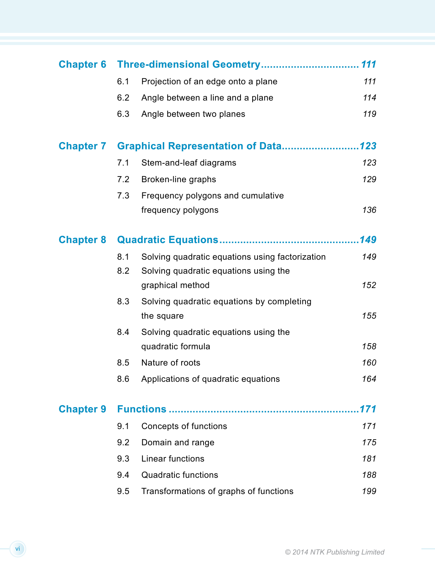|                  |     |                                                 | 111  |
|------------------|-----|-------------------------------------------------|------|
|                  | 6.1 | Projection of an edge onto a plane              | 111  |
|                  | 6.2 | Angle between a line and a plane                | 114  |
|                  | 6.3 | Angle between two planes                        | 119  |
| <b>Chapter 7</b> |     | <b>Graphical Representation of Data123</b>      |      |
|                  | 7.1 | Stem-and-leaf diagrams                          | 123  |
|                  | 7.2 | Broken-line graphs                              | 129  |
|                  | 7.3 | Frequency polygons and cumulative               |      |
|                  |     | frequency polygons                              | 136  |
| <b>Chapter 8</b> |     |                                                 | .149 |
|                  | 8.1 | Solving quadratic equations using factorization | 149  |
|                  | 8.2 | Solving quadratic equations using the           |      |
|                  |     | graphical method                                | 152  |
|                  | 8.3 | Solving quadratic equations by completing       |      |
|                  |     | the square                                      | 155  |
|                  | 8.4 | Solving quadratic equations using the           |      |
|                  |     | quadratic formula                               | 158  |
|                  | 8.5 | Nature of roots                                 | 160  |
|                  | 8.6 | Applications of quadratic equations             | 164  |
| <b>Chapter 9</b> | 171 |                                                 |      |
|                  | 9.1 | Concepts of functions                           | 171  |
|                  | 9.2 | Domain and range                                | 175  |
|                  | 9.3 | Linear functions                                | 181  |
|                  | 9.4 | <b>Quadratic functions</b>                      | 188  |
|                  | 9.5 | Transformations of graphs of functions          | 199  |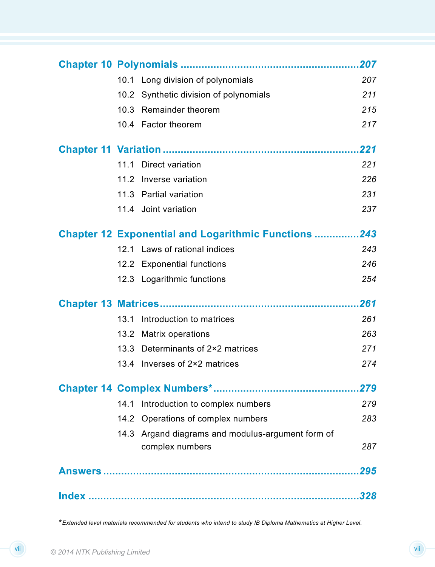|      |                                                             | 207  |
|------|-------------------------------------------------------------|------|
|      | 10.1 Long division of polynomials                           | 207  |
|      | 10.2 Synthetic division of polynomials                      | 211  |
| 10.3 | <b>Remainder theorem</b>                                    | 215  |
|      | 10.4 Factor theorem                                         | 217  |
|      |                                                             |      |
|      | 11.1 Direct variation                                       | 221  |
|      | 11.2 Inverse variation                                      | 226  |
|      | 11.3 Partial variation                                      | 231  |
|      | 11.4 Joint variation                                        | 237  |
|      | <b>Chapter 12 Exponential and Logarithmic Functions 243</b> |      |
|      | 12.1 Laws of rational indices                               | 243  |
|      | 12.2 Exponential functions                                  | 246  |
|      | 12.3 Logarithmic functions                                  | 254  |
|      |                                                             | .261 |
| 13.1 | Introduction to matrices                                    | 261  |
|      | 13.2 Matrix operations                                      | 263  |
|      | 13.3 Determinants of 2×2 matrices                           | 271  |
|      | 13.4 Inverses of 2×2 matrices                               | 274  |
|      |                                                             |      |
|      | 14.1 Introduction to complex numbers                        | 279  |
|      | 14.2 Operations of complex numbers                          | 283  |
|      | 14.3 Argand diagrams and modulus-argument form of           |      |
|      | complex numbers                                             | 287  |
|      |                                                             | 295  |
|      |                                                             |      |

\**Extended level materials recommended for students who intend to study IB Diploma Mathematics at Higher Level.*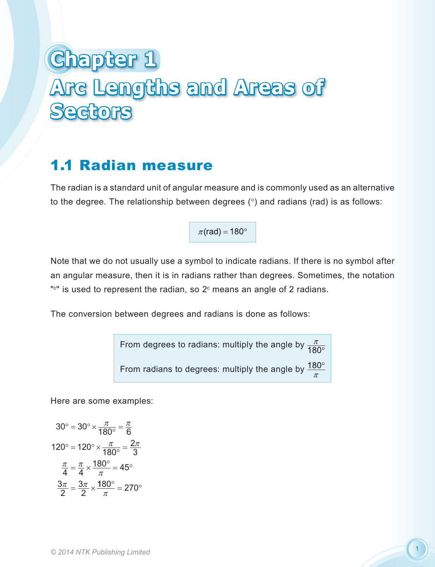# **Chapter 1 Arc Lengths and Areas of Sectors**

# 1.1 Radian measure

The radian is a standard unit of angular measure and is commonly used as an alternative to the degree. The relationship between degrees (°) and radians (rad) is as follows:

 $\pi$ (rad) = 180°

Note that we do not usually use a symbol to indicate radians. If there is no symbol after an angular measure, then it is in radians rather than degrees. Sometimes, the notation " $\text{``}$ " is used to represent the radian, so 2 $\text{°}$  means an angle of 2 radians.

The conversion between degrees and radians is done as follows:

From degrees to radians: multiply the angle by  $\frac{\pi}{180^\circ}$ From radians to degrees: multiply the angle by  $\frac{180^{\circ}}{\pi}$ 

Here are some examples:

$$
30^\circ = 30^\circ \times \frac{\pi}{180^\circ} = \frac{\pi}{6}
$$

$$
120^\circ = 120^\circ \times \frac{\pi}{180^\circ} = \frac{2\pi}{3}
$$

$$
\frac{\pi}{4} = \frac{\pi}{4} \times \frac{180^\circ}{\pi} = 45^\circ
$$

$$
\frac{3\pi}{2} = \frac{3\pi}{2} \times \frac{180^\circ}{\pi} = 270^\circ
$$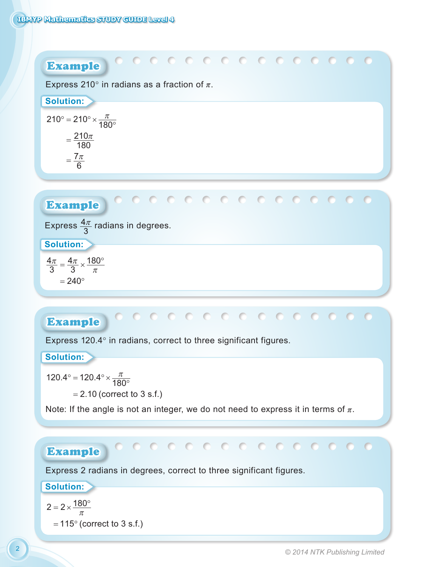

# Example

Express 120.4° in radians, correct to three significant figures.

**Solution:**

 $120.4^{\circ} = 120.4^{\circ} \times \frac{\pi}{180^{\circ}}$ 

= 2.10 (correct to 3 s.f.)

Note: If the angle is not an integer, we do not need to express it in terms of  $\pi$ .

## Example

Express 2 radians in degrees, correct to three significant figures.

#### **Solution:**

$$
2 = 2 \times \frac{180^{\circ}}{\pi}
$$
  
= 115<sup>°</sup> (correct to 3 s.f.)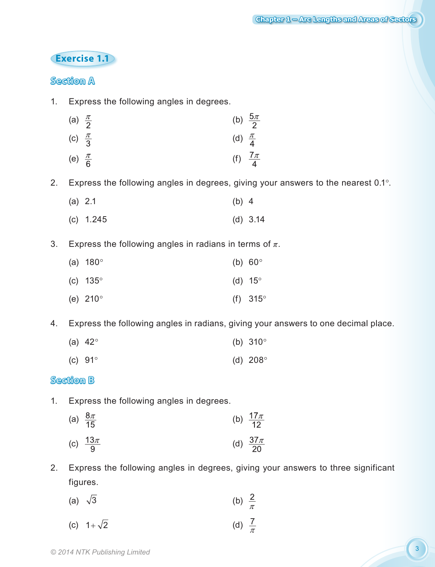### **Exercise 1.1**

#### **Section A**

- 1. Express the following angles in degrees.
	- (a)  $\frac{\pi}{2}$  (b)  $\frac{5\pi}{2}$ (c)  $\frac{\pi}{3}$  (d)  $\frac{\pi}{4}$ (e)  $\frac{\pi}{6}$  (f)  $\frac{7\pi}{4}$
- 2. Express the following angles in degrees, giving your answers to the nearest 0.1°.
	- (a) 2.1 (b) 4
	- (c) 1.245 (d) 3.14
- 3. Express the following angles in radians in terms of  $\pi$ .

| (a) $180^{\circ}$ | (b) $60^\circ$    |
|-------------------|-------------------|
| (c) $135^{\circ}$ | (d) $15^\circ$    |
| (e) $210^{\circ}$ | (f) $315^{\circ}$ |

- 4. Express the following angles in radians, giving your answers to one decimal place.
	- (a)  $42^{\circ}$  (b)  $310^{\circ}$
	- (c) 91° (d) 208°

#### **Section B**

- 1. Express the following angles in degrees.
	- (a)  $\frac{8\pi}{15}$  (b)  $\frac{17\pi}{12}$ (c)  $\frac{13\pi}{9}$  (d)  $\frac{37\pi}{20}$
- 2. Express the following angles in degrees, giving your answers to three significant figures.

(a) 
$$
\sqrt{3}
$$
 (b)  $\frac{2}{\pi}$ 

(c)  $1 + \sqrt{2}$ (d)  $\frac{7}{\pi}$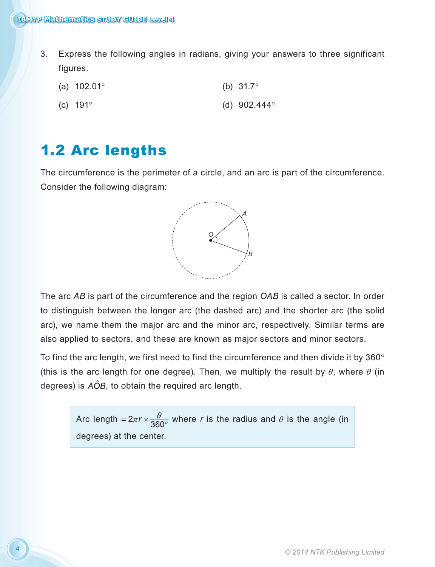- 3. Express the following angles in radians, giving your answers to three significant figures.
	- (a) 102.01° (b) 31.7°
	- (c)  $191^\circ$  (d)  $902.444^\circ$

# 1.2 Arc lengths

The circumference is the perimeter of a circle, and an arc is part of the circumference. Consider the following diagram:



The arc *AB* is part of the circumference and the region *OAB* is called a sector. In order to distinguish between the longer arc (the dashed arc) and the shorter arc (the solid arc), we name them the major arc and the minor arc, respectively. Similar terms are also applied to sectors, and these are known as major sectors and minor sectors.

To find the arc length, we first need to find the circumference and then divide it by  $360^{\circ}$ (this is the arc length for one degree). Then, we multiply the result by  $\theta$ , where  $\theta$  (in degrees) is  $A\hat{O}B$ , to obtain the required arc length.

> Arc length =  $2\pi r \times \frac{\theta}{360^{\circ}}$  where *r* is the radius and  $\theta$  is the angle (in degrees) at the center.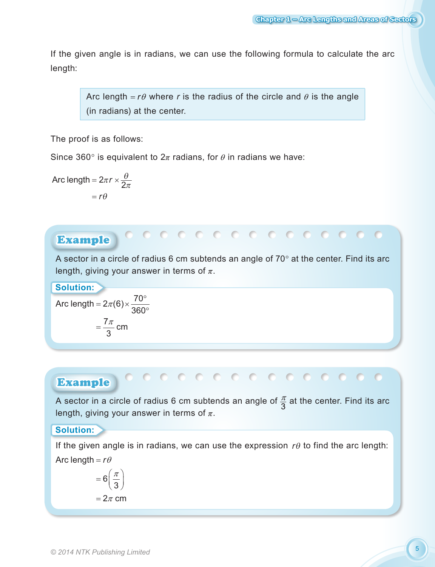If the given angle is in radians, we can use the following formula to calculate the arc length:

Arc length  $= r\theta$  where *r* is the radius of the circle and  $\theta$  is the angle (in radians) at the center.

The proof is as follows:

Since 360 $\degree$  is equivalent to  $2\pi$  radians, for  $\theta$  in radians we have:

$$
Arc length = 2\pi r \times \frac{\theta}{2\pi}
$$

$$
= r\theta
$$

## Example

A sector in a circle of radius 6 cm subtends an angle of  $70^{\circ}$  at the center. Find its arc length, giving your answer in terms of  $\pi$ .

00000000000000000

**Solution:**

Arc length = 
$$
2\pi(6) \times \frac{70^{\circ}}{360^{\circ}}
$$
  
=  $\frac{7\pi}{3}$  cm

#### Example

A sector in a circle of radius 6 cm subtends an angle of  $\frac{\pi}{3}$  at the center. Find its arc length, giving your answer in terms of  $\pi$ .

#### **Solution:**

If the given angle is in radians, we can use the expression *r*θ to find the arc length: Arc length =  $r\theta$ 

$$
=6\left(\frac{\pi}{3}\right)
$$

$$
=2\pi \text{ cm}
$$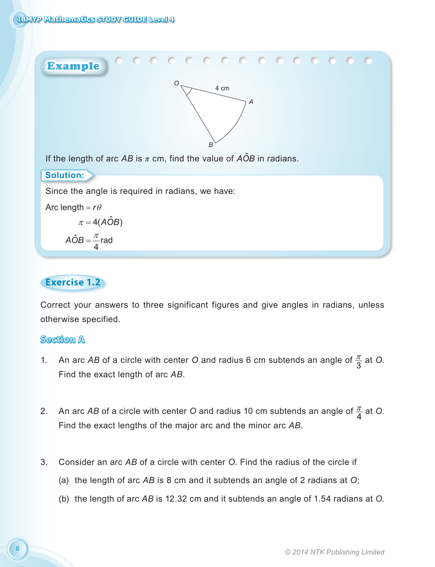

#### **Exercise 1.2**

Correct your answers to three significant figures and give angles in radians, unless otherwise specified.

#### **Section A**

- 1. An arc AB of a circle with center O and radius 6 cm subtends an angle of  $\frac{\pi}{3}$  at O. Find the exact length of arc *AB*.
- 2. An arc AB of a circle with center O and radius 10 cm subtends an angle of  $\frac{\pi}{4}$  at O. Find the exact lengths of the major arc and the minor arc *AB*.
- 3. Consider an arc *AB* of a circle with center *O*. Find the radius of the circle if
	- (a) the length of arc *AB* is 8 cm and it subtends an angle of 2 radians at *O*;
	- (b) the length of arc *AB* is 12.32 cm and it subtends an angle of 1.54 radians at *O*.